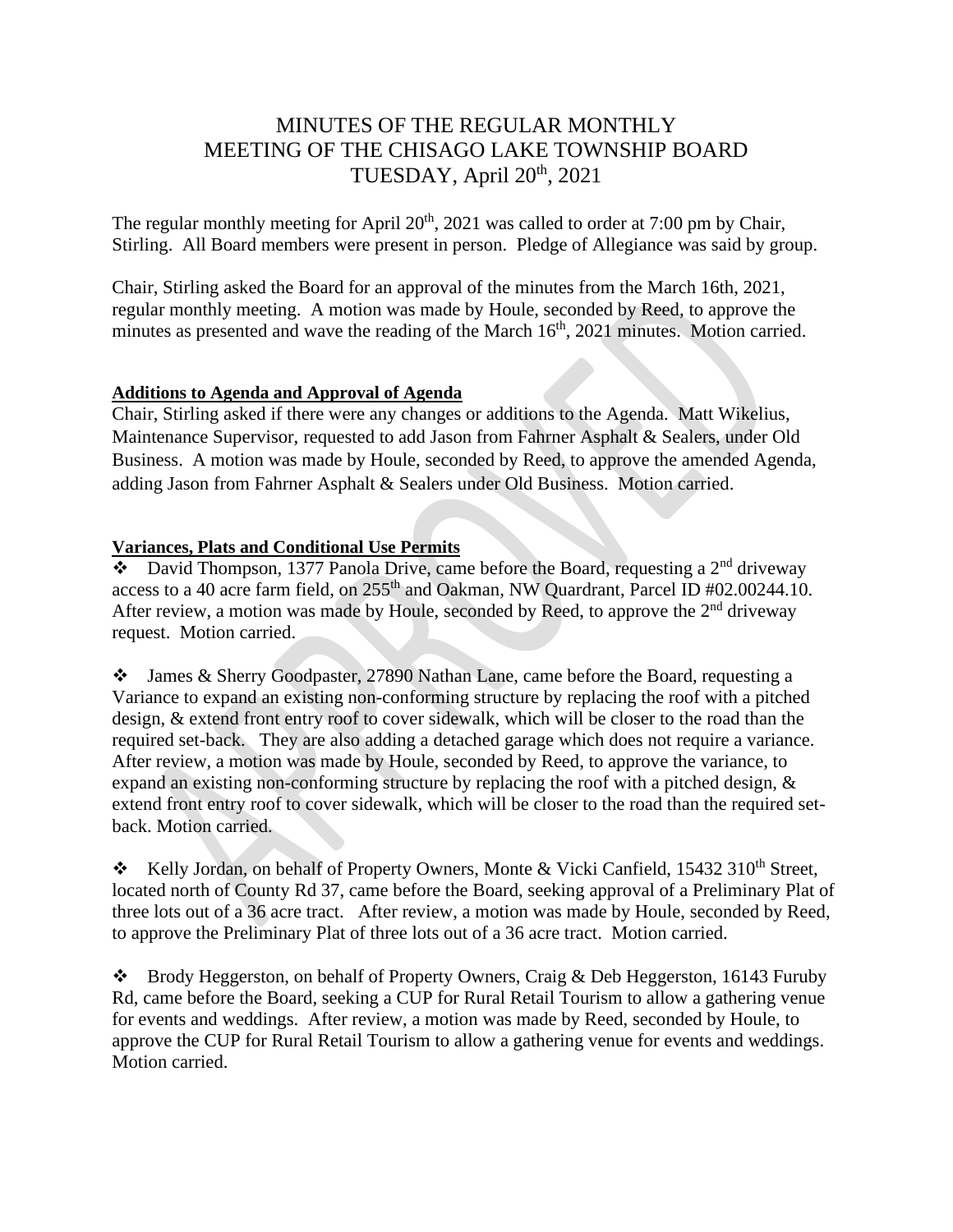# MINUTES OF THE REGULAR MONTHLY MEETING OF THE CHISAGO LAKE TOWNSHIP BOARD TUESDAY, April 20<sup>th</sup>, 2021

The regular monthly meeting for April  $20<sup>th</sup>$ ,  $2021$  was called to order at 7:00 pm by Chair, Stirling. All Board members were present in person. Pledge of Allegiance was said by group.

Chair, Stirling asked the Board for an approval of the minutes from the March 16th, 2021, regular monthly meeting. A motion was made by Houle, seconded by Reed, to approve the minutes as presented and wave the reading of the March  $16<sup>th</sup>$ , 2021 minutes. Motion carried.

## **Additions to Agenda and Approval of Agenda**

Chair, Stirling asked if there were any changes or additions to the Agenda. Matt Wikelius, Maintenance Supervisor, requested to add Jason from Fahrner Asphalt & Sealers, under Old Business. A motion was made by Houle, seconded by Reed, to approve the amended Agenda, adding Jason from Fahrner Asphalt & Sealers under Old Business. Motion carried.

## **Variances, Plats and Conditional Use Permits**

 $\bullet$  David Thompson, 1377 Panola Drive, came before the Board, requesting a 2<sup>nd</sup> driveway access to a 40 acre farm field, on  $255<sup>th</sup>$  and Oakman, NW Quardrant, Parcel ID #02.00244.10. After review, a motion was made by Houle, seconded by Reed, to approve the  $2<sup>nd</sup>$  driveway request. Motion carried.

❖ James & Sherry Goodpaster, 27890 Nathan Lane, came before the Board, requesting a Variance to expand an existing non-conforming structure by replacing the roof with a pitched design, & extend front entry roof to cover sidewalk, which will be closer to the road than the required set-back. They are also adding a detached garage which does not require a variance. After review, a motion was made by Houle, seconded by Reed, to approve the variance, to expand an existing non-conforming structure by replacing the roof with a pitched design, & extend front entry roof to cover sidewalk, which will be closer to the road than the required setback. Motion carried.

\* Kelly Jordan, on behalf of Property Owners, Monte & Vicki Canfield, 15432 310<sup>th</sup> Street, located north of County Rd 37, came before the Board, seeking approval of a Preliminary Plat of three lots out of a 36 acre tract. After review, a motion was made by Houle, seconded by Reed, to approve the Preliminary Plat of three lots out of a 36 acre tract. Motion carried.

❖ Brody Heggerston, on behalf of Property Owners, Craig & Deb Heggerston, 16143 Furuby Rd, came before the Board, seeking a CUP for Rural Retail Tourism to allow a gathering venue for events and weddings. After review, a motion was made by Reed, seconded by Houle, to approve the CUP for Rural Retail Tourism to allow a gathering venue for events and weddings. Motion carried.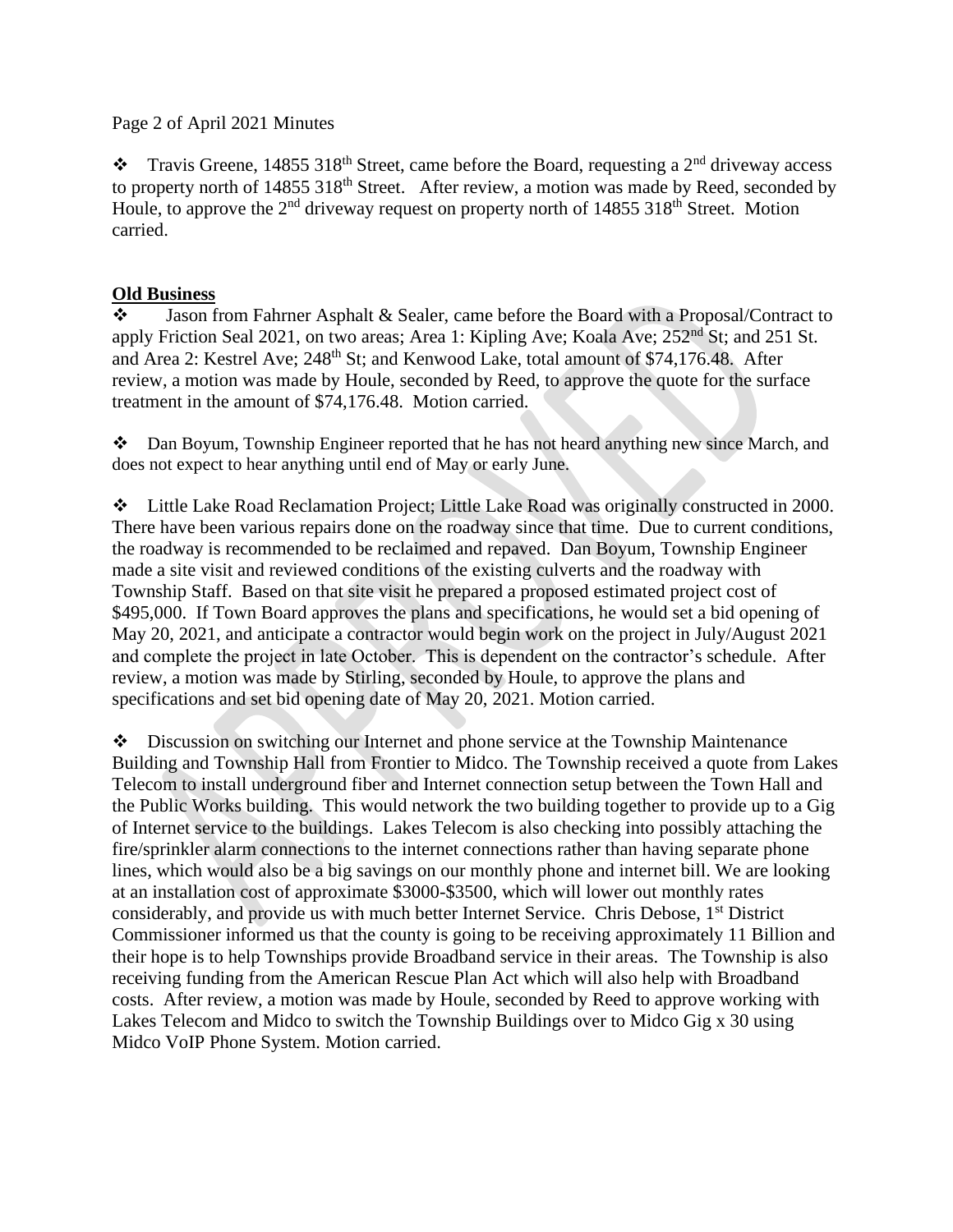#### Page 2 of April 2021 Minutes

 $\cdot \cdot$  Travis Greene, 14855 318<sup>th</sup> Street, came before the Board, requesting a 2<sup>nd</sup> driveway access to property north of 14855 318<sup>th</sup> Street. After review, a motion was made by Reed, seconded by Houle, to approve the  $2<sup>nd</sup>$  driveway request on property north of 14855 318<sup>th</sup> Street. Motion carried.

#### **Old Business**

❖ Jason from Fahrner Asphalt & Sealer, came before the Board with a Proposal/Contract to apply Friction Seal 2021, on two areas; Area 1: Kipling Ave; Koala Ave; 252<sup>nd</sup> St; and 251 St. and Area 2: Kestrel Ave; 248<sup>th</sup> St; and Kenwood Lake, total amount of \$74,176.48. After review, a motion was made by Houle, seconded by Reed, to approve the quote for the surface treatment in the amount of \$74,176.48. Motion carried.

❖ Dan Boyum, Township Engineer reported that he has not heard anything new since March, and does not expect to hear anything until end of May or early June.

❖ Little Lake Road Reclamation Project; Little Lake Road was originally constructed in 2000. There have been various repairs done on the roadway since that time. Due to current conditions, the roadway is recommended to be reclaimed and repaved. Dan Boyum, Township Engineer made a site visit and reviewed conditions of the existing culverts and the roadway with Township Staff. Based on that site visit he prepared a proposed estimated project cost of \$495,000. If Town Board approves the plans and specifications, he would set a bid opening of May 20, 2021, and anticipate a contractor would begin work on the project in July/August 2021 and complete the project in late October. This is dependent on the contractor's schedule. After review, a motion was made by Stirling, seconded by Houle, to approve the plans and specifications and set bid opening date of May 20, 2021. Motion carried.

❖ Discussion on switching our Internet and phone service at the Township Maintenance Building and Township Hall from Frontier to Midco. The Township received a quote from Lakes Telecom to install underground fiber and Internet connection setup between the Town Hall and the Public Works building. This would network the two building together to provide up to a Gig of Internet service to the buildings. Lakes Telecom is also checking into possibly attaching the fire/sprinkler alarm connections to the internet connections rather than having separate phone lines, which would also be a big savings on our monthly phone and internet bill. We are looking at an installation cost of approximate \$3000-\$3500, which will lower out monthly rates considerably, and provide us with much better Internet Service. Chris Debose, 1<sup>st</sup> District Commissioner informed us that the county is going to be receiving approximately 11 Billion and their hope is to help Townships provide Broadband service in their areas. The Township is also receiving funding from the American Rescue Plan Act which will also help with Broadband costs. After review, a motion was made by Houle, seconded by Reed to approve working with Lakes Telecom and Midco to switch the Township Buildings over to Midco Gig x 30 using Midco VoIP Phone System. Motion carried.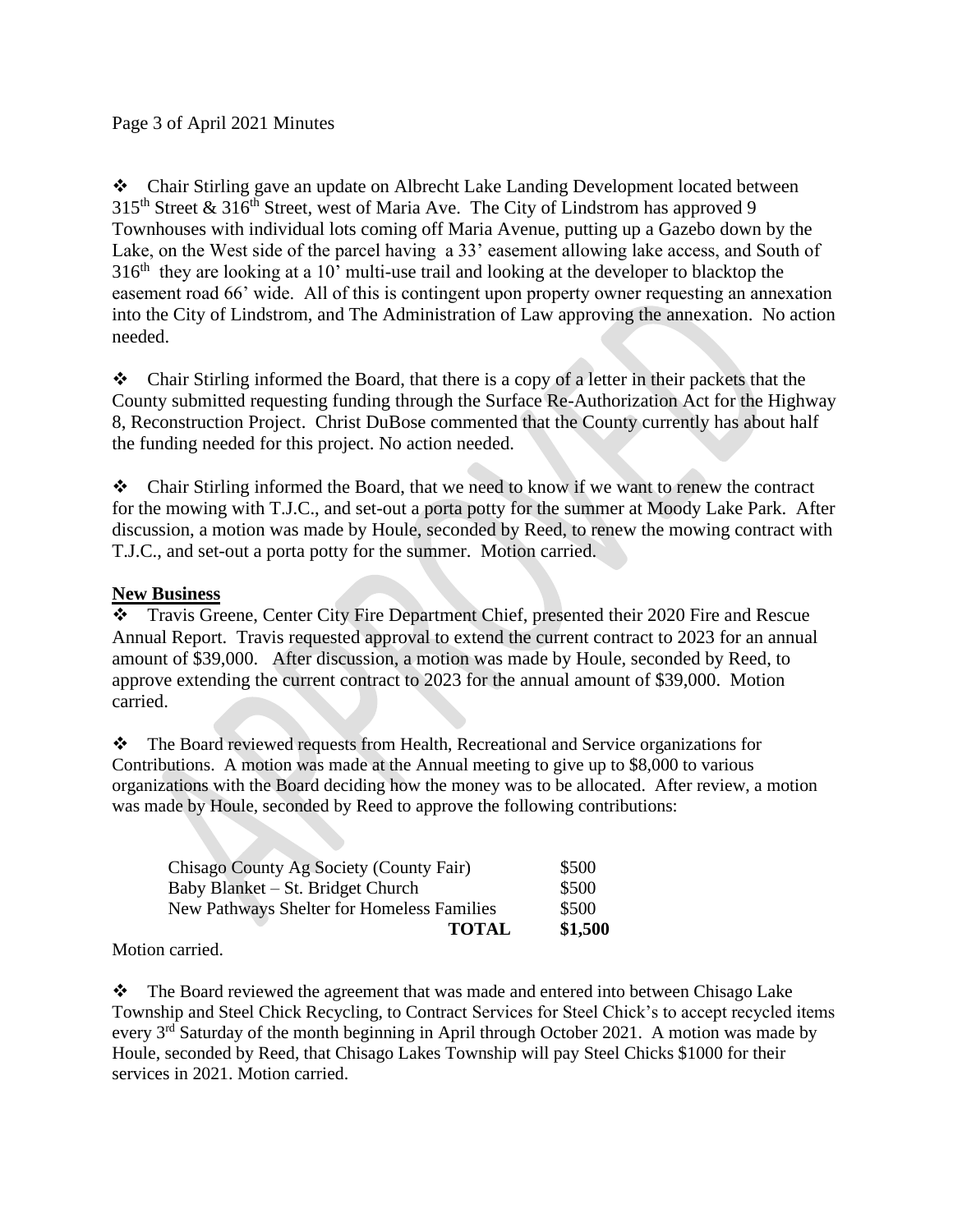❖ Chair Stirling gave an update on Albrecht Lake Landing Development located between  $315<sup>th</sup>$  Street &  $316<sup>th</sup>$  Street, west of Maria Ave. The City of Lindstrom has approved 9 Townhouses with individual lots coming off Maria Avenue, putting up a Gazebo down by the Lake, on the West side of the parcel having a 33' easement allowing lake access, and South of  $316<sup>th</sup>$  they are looking at a 10' multi-use trail and looking at the developer to blacktop the easement road 66' wide. All of this is contingent upon property owner requesting an annexation into the City of Lindstrom, and The Administration of Law approving the annexation. No action needed.

❖ Chair Stirling informed the Board, that there is a copy of a letter in their packets that the County submitted requesting funding through the Surface Re-Authorization Act for the Highway 8, Reconstruction Project. Christ DuBose commented that the County currently has about half the funding needed for this project. No action needed.

❖ Chair Stirling informed the Board, that we need to know if we want to renew the contract for the mowing with T.J.C., and set-out a porta potty for the summer at Moody Lake Park. After discussion, a motion was made by Houle, seconded by Reed, to renew the mowing contract with T.J.C., and set-out a porta potty for the summer. Motion carried.

# **New Business**

❖ Travis Greene, Center City Fire Department Chief, presented their 2020 Fire and Rescue Annual Report. Travis requested approval to extend the current contract to 2023 for an annual amount of \$39,000. After discussion, a motion was made by Houle, seconded by Reed, to approve extending the current contract to 2023 for the annual amount of \$39,000. Motion carried.

❖ The Board reviewed requests from Health, Recreational and Service organizations for Contributions. A motion was made at the Annual meeting to give up to \$8,000 to various organizations with the Board deciding how the money was to be allocated. After review, a motion was made by Houle, seconded by Reed to approve the following contributions:

| <b>TOTAL</b>                                      | \$1,500 |
|---------------------------------------------------|---------|
| <b>New Pathways Shelter for Homeless Families</b> | \$500   |
| Baby Blanket – St. Bridget Church                 | \$500   |
| Chisago County Ag Society (County Fair)           | \$500   |
|                                                   |         |

# Motion carried.

❖ The Board reviewed the agreement that was made and entered into between Chisago Lake Township and Steel Chick Recycling, to Contract Services for Steel Chick's to accept recycled items every  $3<sup>rd</sup>$  Saturday of the month beginning in April through October 2021. A motion was made by Houle, seconded by Reed, that Chisago Lakes Township will pay Steel Chicks \$1000 for their services in 2021. Motion carried.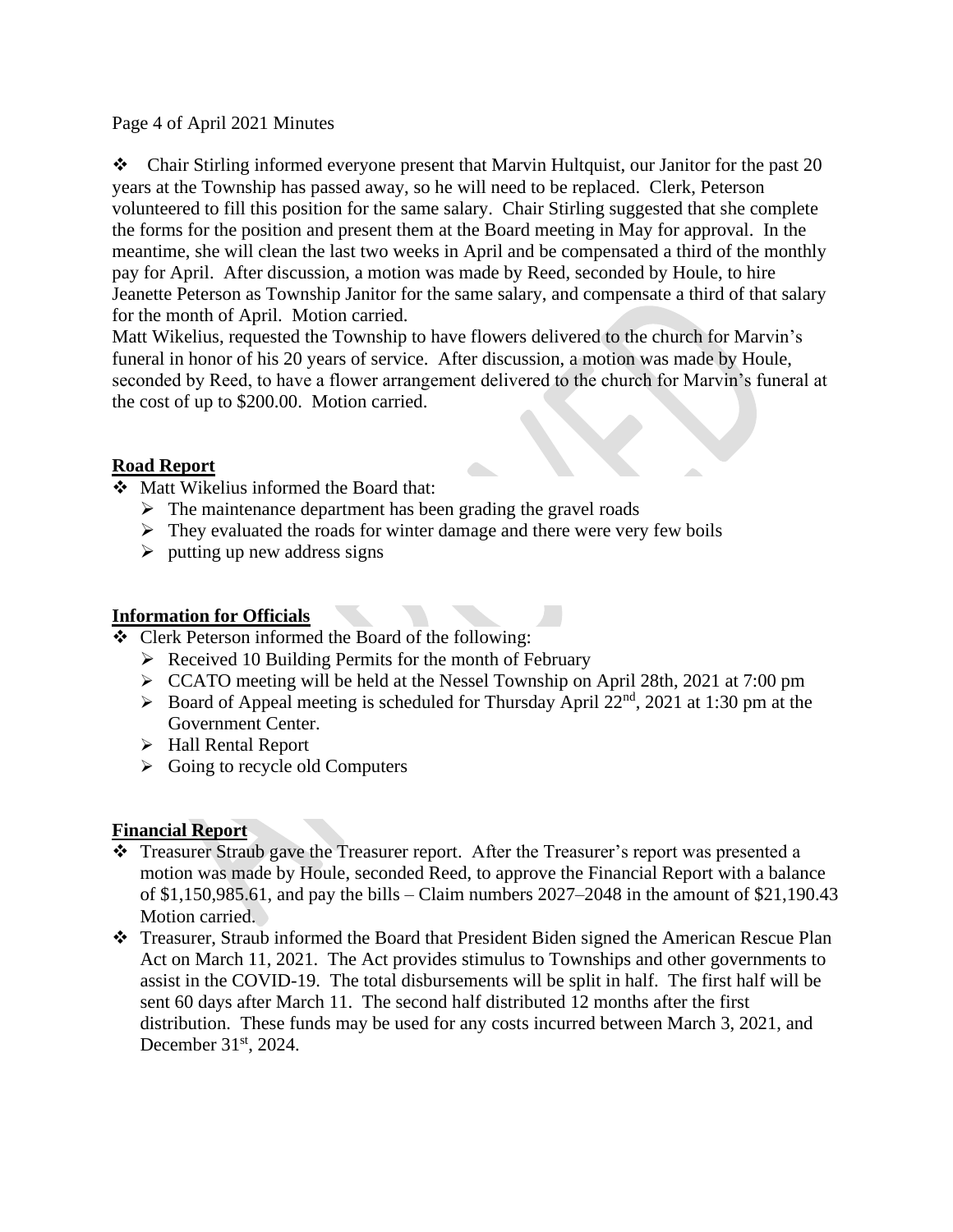#### Page 4 of April 2021 Minutes

❖ Chair Stirling informed everyone present that Marvin Hultquist, our Janitor for the past 20 years at the Township has passed away, so he will need to be replaced. Clerk, Peterson volunteered to fill this position for the same salary. Chair Stirling suggested that she complete the forms for the position and present them at the Board meeting in May for approval. In the meantime, she will clean the last two weeks in April and be compensated a third of the monthly pay for April. After discussion, a motion was made by Reed, seconded by Houle, to hire Jeanette Peterson as Township Janitor for the same salary, and compensate a third of that salary for the month of April. Motion carried.

Matt Wikelius, requested the Township to have flowers delivered to the church for Marvin's funeral in honor of his 20 years of service. After discussion, a motion was made by Houle, seconded by Reed, to have a flower arrangement delivered to the church for Marvin's funeral at the cost of up to \$200.00. Motion carried.

## **Road Report**

- ❖ Matt Wikelius informed the Board that:
	- $\triangleright$  The maintenance department has been grading the gravel roads
	- $\triangleright$  They evaluated the roads for winter damage and there were very few boils
	- $\triangleright$  putting up new address signs

#### **Information for Officials**

- ❖ Clerk Peterson informed the Board of the following:
	- ➢ Received 10 Building Permits for the month of February
	- ➢ CCATO meeting will be held at the Nessel Township on April 28th, 2021 at 7:00 pm
	- $\triangleright$  Board of Appeal meeting is scheduled for Thursday April 22<sup>nd</sup>, 2021 at 1:30 pm at the Government Center.
	- ➢ Hall Rental Report
	- $\triangleright$  Going to recycle old Computers

#### **Financial Report**

- ❖ Treasurer Straub gave the Treasurer report. After the Treasurer's report was presented a motion was made by Houle, seconded Reed, to approve the Financial Report with a balance of \$1,150,985.61, and pay the bills – Claim numbers 2027–2048 in the amount of \$21,190.43 Motion carried.
- ❖ Treasurer, Straub informed the Board that President Biden signed the American Rescue Plan Act on March 11, 2021. The Act provides stimulus to Townships and other governments to assist in the COVID-19. The total disbursements will be split in half. The first half will be sent 60 days after March 11. The second half distributed 12 months after the first distribution. These funds may be used for any costs incurred between March 3, 2021, and December 31<sup>st</sup>, 2024.